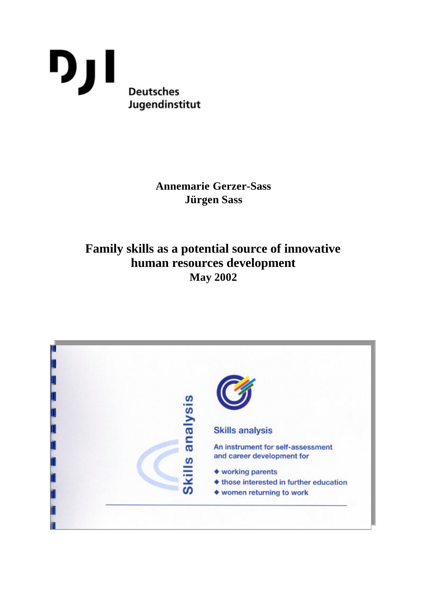

# **Annemarie Gerzer-Sass Jürgen Sass**

# **Family skills as a potential source of innovative human resources development May 2002**

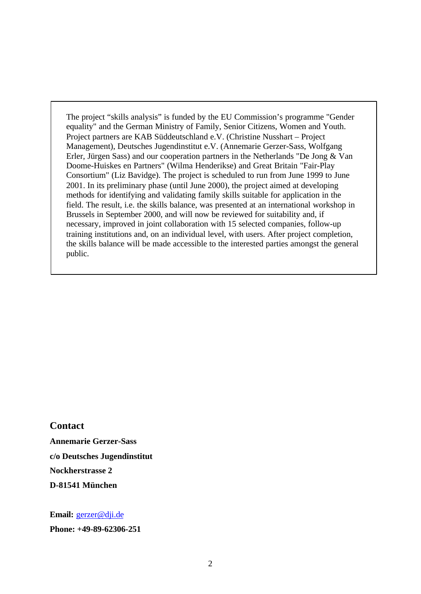The project "skills analysis" is funded by the EU Commission's programme "Gender equality" and the German Ministry of Family, Senior Citizens, Women and Youth. Project partners are KAB Süddeutschland e.V. (Christine Nusshart – Project Management), Deutsches Jugendinstitut e.V. (Annemarie Gerzer-Sass, Wolfgang Erler, Jürgen Sass) and our cooperation partners in the Netherlands "De Jong & Van Doome-Huiskes en Partners" (Wilma Henderikse) and Great Britain "Fair-Play Consortium" (Liz Bavidge). The project is scheduled to run from June 1999 to June 2001. In its preliminary phase (until June 2000), the project aimed at developing methods for identifying and validating family skills suitable for application in the field. The result, i.e. the skills balance, was presented at an international workshop in Brussels in September 2000, and will now be reviewed for suitability and, if necessary, improved in joint collaboration with 15 selected companies, follow-up training institutions and, on an individual level, with users. After project completion, the skills balance will be made accessible to the interested parties amongst the general public.

**Contact**

**Annemarie Gerzer-Sass c/o Deutsches Jugendinstitut Nockherstrasse 2 D-81541 München**

**Email:** gerzer@dji.de **Phone: +49-89-62306-251**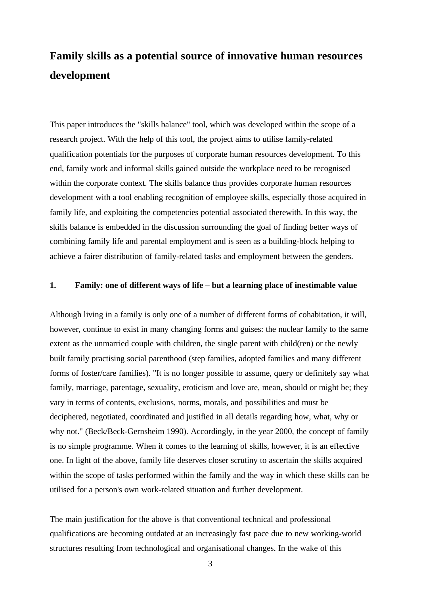# **Family skills as a potential source of innovative human resources development**

This paper introduces the "skills balance" tool, which was developed within the scope of a research project. With the help of this tool, the project aims to utilise family-related qualification potentials for the purposes of corporate human resources development. To this end, family work and informal skills gained outside the workplace need to be recognised within the corporate context. The skills balance thus provides corporate human resources development with a tool enabling recognition of employee skills, especially those acquired in family life, and exploiting the competencies potential associated therewith. In this way, the skills balance is embedded in the discussion surrounding the goal of finding better ways of combining family life and parental employment and is seen as a building-block helping to achieve a fairer distribution of family-related tasks and employment between the genders.

### **1. Family: one of different ways of life – but a learning place of inestimable value**

Although living in a family is only one of a number of different forms of cohabitation, it will, however, continue to exist in many changing forms and guises: the nuclear family to the same extent as the unmarried couple with children, the single parent with child(ren) or the newly built family practising social parenthood (step families, adopted families and many different forms of foster/care families). "It is no longer possible to assume, query or definitely say what family, marriage, parentage, sexuality, eroticism and love are, mean, should or might be; they vary in terms of contents, exclusions, norms, morals, and possibilities and must be deciphered, negotiated, coordinated and justified in all details regarding how, what, why or why not." (Beck/Beck-Gernsheim 1990). Accordingly, in the year 2000, the concept of family is no simple programme. When it comes to the learning of skills, however, it is an effective one. In light of the above, family life deserves closer scrutiny to ascertain the skills acquired within the scope of tasks performed within the family and the way in which these skills can be utilised for a person's own work-related situation and further development.

The main justification for the above is that conventional technical and professional qualifications are becoming outdated at an increasingly fast pace due to new working-world structures resulting from technological and organisational changes. In the wake of this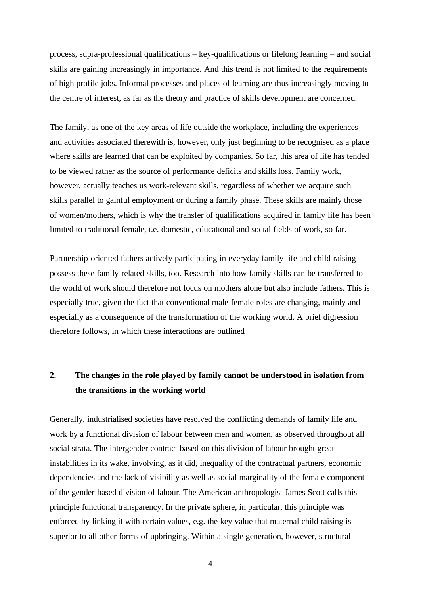process, supra-professional qualifications – key-qualifications or lifelong learning – and social skills are gaining increasingly in importance. And this trend is not limited to the requirements of high profile jobs. Informal processes and places of learning are thus increasingly moving to the centre of interest, as far as the theory and practice of skills development are concerned.

The family, as one of the key areas of life outside the workplace, including the experiences and activities associated therewith is, however, only just beginning to be recognised as a place where skills are learned that can be exploited by companies. So far, this area of life has tended to be viewed rather as the source of performance deficits and skills loss. Family work, however, actually teaches us work-relevant skills, regardless of whether we acquire such skills parallel to gainful employment or during a family phase. These skills are mainly those of women/mothers, which is why the transfer of qualifications acquired in family life has been limited to traditional female, i.e. domestic, educational and social fields of work, so far.

Partnership-oriented fathers actively participating in everyday family life and child raising possess these family-related skills, too. Research into how family skills can be transferred to the world of work should therefore not focus on mothers alone but also include fathers. This is especially true, given the fact that conventional male-female roles are changing, mainly and especially as a consequence of the transformation of the working world. A brief digression therefore follows, in which these interactions are outlined

### **2. The changes in the role played by family cannot be understood in isolation from the transitions in the working world**

Generally, industrialised societies have resolved the conflicting demands of family life and work by a functional division of labour between men and women, as observed throughout all social strata. The intergender contract based on this division of labour brought great instabilities in its wake, involving, as it did, inequality of the contractual partners, economic dependencies and the lack of visibility as well as social marginality of the female component of the gender-based division of labour. The American anthropologist James Scott calls this principle functional transparency. In the private sphere, in particular, this principle was enforced by linking it with certain values, e.g. the key value that maternal child raising is superior to all other forms of upbringing. Within a single generation, however, structural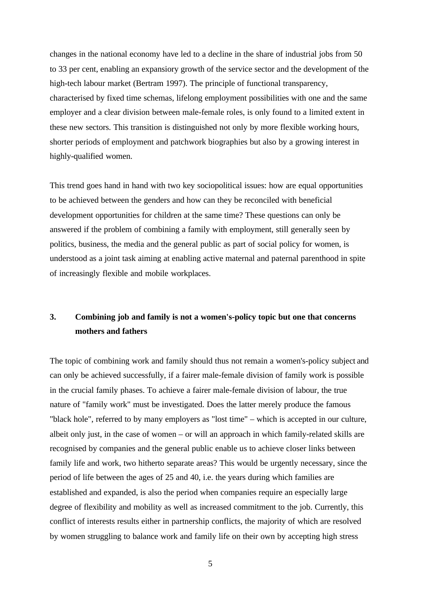changes in the national economy have led to a decline in the share of industrial jobs from 50 to 33 per cent, enabling an expansiory growth of the service sector and the development of the high-tech labour market (Bertram 1997). The principle of functional transparency, characterised by fixed time schemas, lifelong employment possibilities with one and the same employer and a clear division between male-female roles, is only found to a limited extent in these new sectors. This transition is distinguished not only by more flexible working hours, shorter periods of employment and patchwork biographies but also by a growing interest in highly-qualified women.

This trend goes hand in hand with two key sociopolitical issues: how are equal opportunities to be achieved between the genders and how can they be reconciled with beneficial development opportunities for children at the same time? These questions can only be answered if the problem of combining a family with employment, still generally seen by politics, business, the media and the general public as part of social policy for women, is understood as a joint task aiming at enabling active maternal and paternal parenthood in spite of increasingly flexible and mobile workplaces.

### **3. Combining job and family is not a women's-policy topic but one that concerns mothers and fathers**

The topic of combining work and family should thus not remain a women's-policy subject and can only be achieved successfully, if a fairer male-female division of family work is possible in the crucial family phases. To achieve a fairer male-female division of labour, the true nature of "family work" must be investigated. Does the latter merely produce the famous "black hole", referred to by many employers as "lost time" – which is accepted in our culture, albeit only just, in the case of women – or will an approach in which family-related skills are recognised by companies and the general public enable us to achieve closer links between family life and work, two hitherto separate areas? This would be urgently necessary, since the period of life between the ages of 25 and 40, i.e. the years during which families are established and expanded, is also the period when companies require an especially large degree of flexibility and mobility as well as increased commitment to the job. Currently, this conflict of interests results either in partnership conflicts, the majority of which are resolved by women struggling to balance work and family life on their own by accepting high stress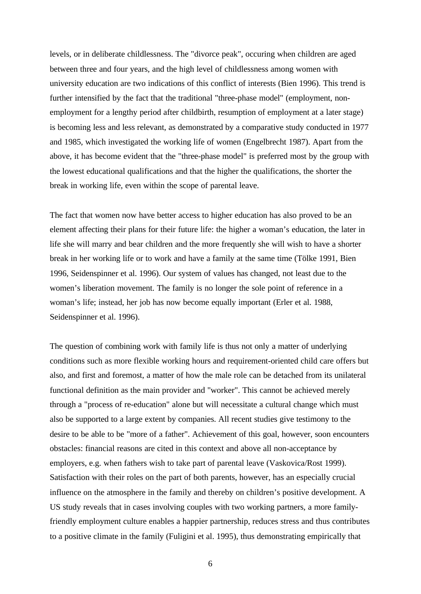levels, or in deliberate childlessness. The "divorce peak", occuring when children are aged between three and four years, and the high level of childlessness among women with university education are two indications of this conflict of interests (Bien 1996). This trend is further intensified by the fact that the traditional "three-phase model" (employment, nonemployment for a lengthy period after childbirth, resumption of employment at a later stage) is becoming less and less relevant, as demonstrated by a comparative study conducted in 1977 and 1985, which investigated the working life of women (Engelbrecht 1987). Apart from the above, it has become evident that the "three-phase model" is preferred most by the group with the lowest educational qualifications and that the higher the qualifications, the shorter the break in working life, even within the scope of parental leave.

The fact that women now have better access to higher education has also proved to be an element affecting their plans for their future life: the higher a woman's education, the later in life she will marry and bear children and the more frequently she will wish to have a shorter break in her working life or to work and have a family at the same time (Tölke 1991, Bien 1996, Seidenspinner et al. 1996). Our system of values has changed, not least due to the women's liberation movement. The family is no longer the sole point of reference in a woman's life; instead, her job has now become equally important (Erler et al. 1988, Seidenspinner et al. 1996).

The question of combining work with family life is thus not only a matter of underlying conditions such as more flexible working hours and requirement-oriented child care offers but also, and first and foremost, a matter of how the male role can be detached from its unilateral functional definition as the main provider and "worker". This cannot be achieved merely through a "process of re-education" alone but will necessitate a cultural change which must also be supported to a large extent by companies. All recent studies give testimony to the desire to be able to be "more of a father". Achievement of this goal, however, soon encounters obstacles: financial reasons are cited in this context and above all non-acceptance by employers, e.g. when fathers wish to take part of parental leave (Vaskovica/Rost 1999). Satisfaction with their roles on the part of both parents, however, has an especially crucial influence on the atmosphere in the family and thereby on children's positive development. A US study reveals that in cases involving couples with two working partners, a more familyfriendly employment culture enables a happier partnership, reduces stress and thus contributes to a positive climate in the family (Fuligini et al. 1995), thus demonstrating empirically that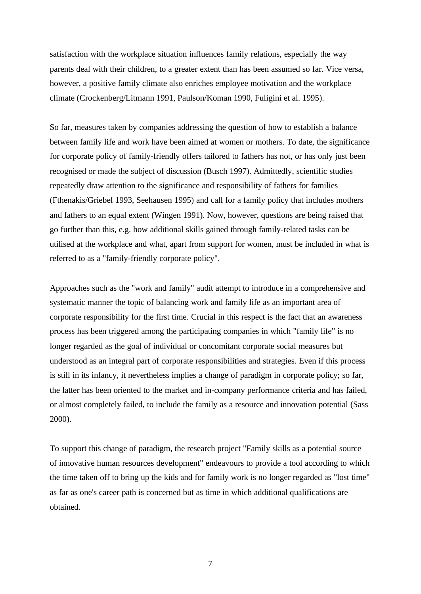satisfaction with the workplace situation influences family relations, especially the way parents deal with their children, to a greater extent than has been assumed so far. Vice versa, however, a positive family climate also enriches employee motivation and the workplace climate (Crockenberg/Litmann 1991, Paulson/Koman 1990, Fuligini et al. 1995).

So far, measures taken by companies addressing the question of how to establish a balance between family life and work have been aimed at women or mothers. To date, the significance for corporate policy of family-friendly offers tailored to fathers has not, or has only just been recognised or made the subject of discussion (Busch 1997). Admittedly, scientific studies repeatedly draw attention to the significance and responsibility of fathers for families (Fthenakis/Griebel 1993, Seehausen 1995) and call for a family policy that includes mothers and fathers to an equal extent (Wingen 1991). Now, however, questions are being raised that go further than this, e.g. how additional skills gained through family-related tasks can be utilised at the workplace and what, apart from support for women, must be included in what is referred to as a "family-friendly corporate policy".

Approaches such as the "work and family" audit attempt to introduce in a comprehensive and systematic manner the topic of balancing work and family life as an important area of corporate responsibility for the first time. Crucial in this respect is the fact that an awareness process has been triggered among the participating companies in which "family life" is no longer regarded as the goal of individual or concomitant corporate social measures but understood as an integral part of corporate responsibilities and strategies. Even if this process is still in its infancy, it nevertheless implies a change of paradigm in corporate policy; so far, the latter has been oriented to the market and in-company performance criteria and has failed, or almost completely failed, to include the family as a resource and innovation potential (Sass 2000).

To support this change of paradigm, the research project "Family skills as a potential source of innovative human resources development" endeavours to provide a tool according to which the time taken off to bring up the kids and for family work is no longer regarded as "lost time" as far as one's career path is concerned but as time in which additional qualifications are obtained.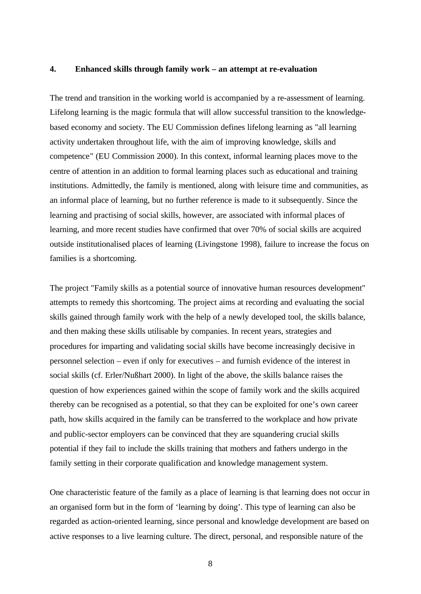### **4. Enhanced skills through family work – an attempt at re-evaluation**

The trend and transition in the working world is accompanied by a re-assessment of learning. Lifelong learning is the magic formula that will allow successful transition to the knowledgebased economy and society. The EU Commission defines lifelong learning as "all learning activity undertaken throughout life, with the aim of improving knowledge, skills and competence" (EU Commission 2000). In this context, informal learning places move to the centre of attention in an addition to formal learning places such as educational and training institutions. Admittedly, the family is mentioned, along with leisure time and communities, as an informal place of learning, but no further reference is made to it subsequently. Since the learning and practising of social skills, however, are associated with informal places of learning, and more recent studies have confirmed that over 70% of social skills are acquired outside institutionalised places of learning (Livingstone 1998), failure to increase the focus on families is a shortcoming.

The project "Family skills as a potential source of innovative human resources development" attempts to remedy this shortcoming. The project aims at recording and evaluating the social skills gained through family work with the help of a newly developed tool, the skills balance, and then making these skills utilisable by companies. In recent years, strategies and procedures for imparting and validating social skills have become increasingly decisive in personnel selection – even if only for executives – and furnish evidence of the interest in social skills (cf. Erler/Nußhart 2000). In light of the above, the skills balance raises the question of how experiences gained within the scope of family work and the skills acquired thereby can be recognised as a potential, so that they can be exploited for one's own career path, how skills acquired in the family can be transferred to the workplace and how private and public-sector employers can be convinced that they are squandering crucial skills potential if they fail to include the skills training that mothers and fathers undergo in the family setting in their corporate qualification and knowledge management system.

One characteristic feature of the family as a place of learning is that learning does not occur in an organised form but in the form of 'learning by doing'. This type of learning can also be regarded as action-oriented learning, since personal and knowledge development are based on active responses to a live learning culture. The direct, personal, and responsible nature of the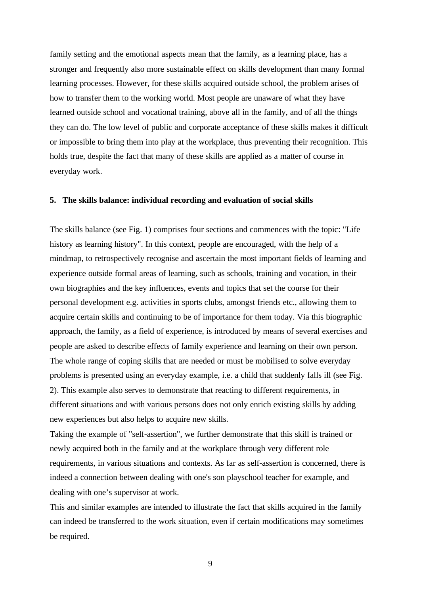family setting and the emotional aspects mean that the family, as a learning place, has a stronger and frequently also more sustainable effect on skills development than many formal learning processes. However, for these skills acquired outside school, the problem arises of how to transfer them to the working world. Most people are unaware of what they have learned outside school and vocational training, above all in the family, and of all the things they can do. The low level of public and corporate acceptance of these skills makes it difficult or impossible to bring them into play at the workplace, thus preventing their recognition. This holds true, despite the fact that many of these skills are applied as a matter of course in everyday work.

#### **5. The skills balance: individual recording and evaluation of social skills**

The skills balance (see Fig. 1) comprises four sections and commences with the topic: "Life history as learning history". In this context, people are encouraged, with the help of a mindmap, to retrospectively recognise and ascertain the most important fields of learning and experience outside formal areas of learning, such as schools, training and vocation, in their own biographies and the key influences, events and topics that set the course for their personal development e.g. activities in sports clubs, amongst friends etc., allowing them to acquire certain skills and continuing to be of importance for them today. Via this biographic approach, the family, as a field of experience, is introduced by means of several exercises and people are asked to describe effects of family experience and learning on their own person. The whole range of coping skills that are needed or must be mobilised to solve everyday problems is presented using an everyday example, i.e. a child that suddenly falls ill (see Fig. 2). This example also serves to demonstrate that reacting to different requirements, in different situations and with various persons does not only enrich existing skills by adding new experiences but also helps to acquire new skills.

Taking the example of "self-assertion", we further demonstrate that this skill is trained or newly acquired both in the family and at the workplace through very different role requirements, in various situations and contexts. As far as self-assertion is concerned, there is indeed a connection between dealing with one's son playschool teacher for example, and dealing with one's supervisor at work.

This and similar examples are intended to illustrate the fact that skills acquired in the family can indeed be transferred to the work situation, even if certain modifications may sometimes be required.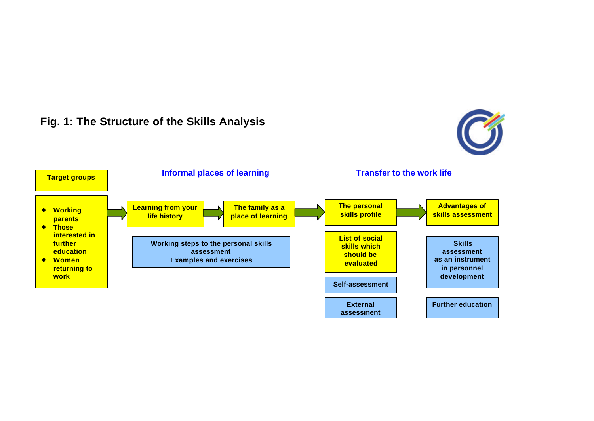# **Fig. 1: The Structure of the Skills Analysis**



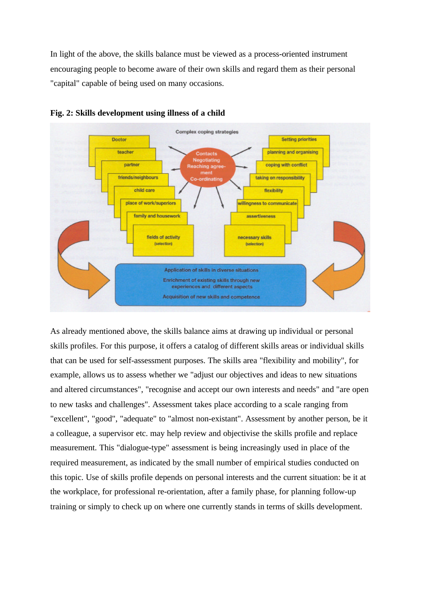In light of the above, the skills balance must be viewed as a process-oriented instrument encouraging people to become aware of their own skills and regard them as their personal "capital" capable of being used on many occasions.





As already mentioned above, the skills balance aims at drawing up individual or personal skills profiles. For this purpose, it offers a catalog of different skills areas or individual skills that can be used for self-assessment purposes. The skills area "flexibility and mobility", for example, allows us to assess whether we "adjust our objectives and ideas to new situations and altered circumstances", "recognise and accept our own interests and needs" and "are open to new tasks and challenges". Assessment takes place according to a scale ranging from "excellent", "good", "adequate" to "almost non-existant". Assessment by another person, be it a colleague, a supervisor etc. may help review and objectivise the skills profile and replace measurement. This "dialogue-type" assessment is being increasingly used in place of the required measurement, as indicated by the small number of empirical studies conducted on this topic. Use of skills profile depends on personal interests and the current situation: be it at the workplace, for professional re-orientation, after a family phase, for planning follow-up training or simply to check up on where one currently stands in terms of skills development.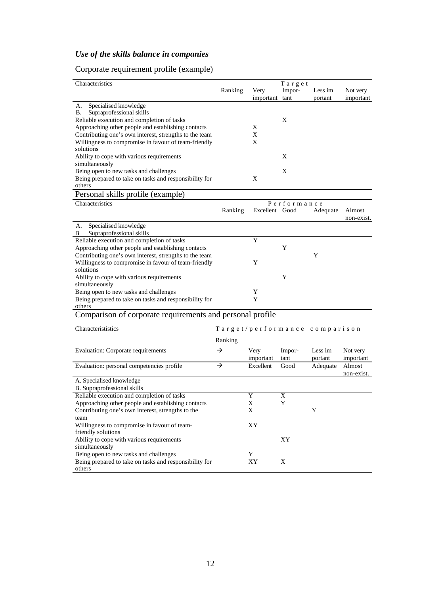## *Use of the skills balance in companies*

## Corporate requirement profile (example)

| Characteristics                                           |                               |                | Target |          |            |  |
|-----------------------------------------------------------|-------------------------------|----------------|--------|----------|------------|--|
|                                                           | Ranking                       | Very           | Impor- | Less im  | Not very   |  |
|                                                           |                               | important tant |        | portant  | important  |  |
| Specialised knowledge<br>А.                               |                               |                |        |          |            |  |
| Supraprofessional skills<br>В.                            |                               |                |        |          |            |  |
| Reliable execution and completion of tasks                |                               |                | X      |          |            |  |
| Approaching other people and establishing contacts        |                               | X              |        |          |            |  |
| Contributing one's own interest, strengths to the team    |                               | X              |        |          |            |  |
| Willingness to compromise in favour of team-friendly      |                               | X              |        |          |            |  |
| solutions                                                 |                               |                |        |          |            |  |
|                                                           |                               |                |        |          |            |  |
| Ability to cope with various requirements                 |                               |                | X      |          |            |  |
| simultaneously                                            |                               |                |        |          |            |  |
| Being open to new tasks and challenges                    |                               |                | X      |          |            |  |
| Being prepared to take on tasks and responsibility for    |                               | X              |        |          |            |  |
| others                                                    |                               |                |        |          |            |  |
| Personal skills profile (example)                         |                               |                |        |          |            |  |
| Characteristics                                           | Performance                   |                |        |          |            |  |
|                                                           | Ranking                       | Excellent Good |        | Adequate | Almost     |  |
|                                                           |                               |                |        |          | non-exist. |  |
| Specialised knowledge<br>А.                               |                               |                |        |          |            |  |
| Supraprofessional skills<br>В                             |                               |                |        |          |            |  |
| Reliable execution and completion of tasks                |                               | Y              |        |          |            |  |
| Approaching other people and establishing contacts        |                               |                | Y      |          |            |  |
|                                                           |                               |                |        | Y        |            |  |
| Contributing one's own interest, strengths to the team    |                               |                |        |          |            |  |
| Willingness to compromise in favour of team-friendly      |                               | Y              |        |          |            |  |
| solutions                                                 |                               |                |        |          |            |  |
| Ability to cope with various requirements                 |                               |                | Y      |          |            |  |
| simultaneously                                            |                               |                |        |          |            |  |
| Being open to new tasks and challenges                    |                               | Y              |        |          |            |  |
| Being prepared to take on tasks and responsibility for    |                               | Y              |        |          |            |  |
| others                                                    |                               |                |        |          |            |  |
| Comparison of corporate requirements and personal profile |                               |                |        |          |            |  |
|                                                           |                               |                |        |          |            |  |
| Characterististics                                        | Target/performance comparison |                |        |          |            |  |
|                                                           | Ranking                       |                |        |          |            |  |
|                                                           |                               |                |        |          |            |  |
| Evaluation: Corporate requirements                        | →                             | Very           | Impor- | Less im  | Not very   |  |
|                                                           |                               | important      | tant   | portant  | important  |  |
| Evaluation: personal competencies profile                 | $\rightarrow$                 | Excellent      | Good   | Adequate | Almost     |  |
|                                                           |                               |                |        |          | non-exist. |  |
| A. Specialised knowledge                                  |                               |                |        |          |            |  |
| B. Supraprofessional skills                               |                               |                |        |          |            |  |
| Reliable execution and completion of tasks                |                               | Y              | X      |          |            |  |
| Approaching other people and establishing contacts        |                               | X              | Y      |          |            |  |
| Contributing one's own interest, strengths to the         |                               | X              |        | Y        |            |  |
| team                                                      |                               |                |        |          |            |  |
| Willingness to compromise in favour of team-              |                               | XY             |        |          |            |  |
| friendly solutions                                        |                               |                |        |          |            |  |
| Ability to cope with various requirements                 |                               |                |        |          |            |  |
|                                                           |                               |                | XY     |          |            |  |
| simultaneously                                            |                               |                |        |          |            |  |
| Being open to new tasks and challenges                    |                               | Y              |        |          |            |  |
| Being prepared to take on tasks and responsibility for    |                               | ХY             | X      |          |            |  |
| others                                                    |                               |                |        |          |            |  |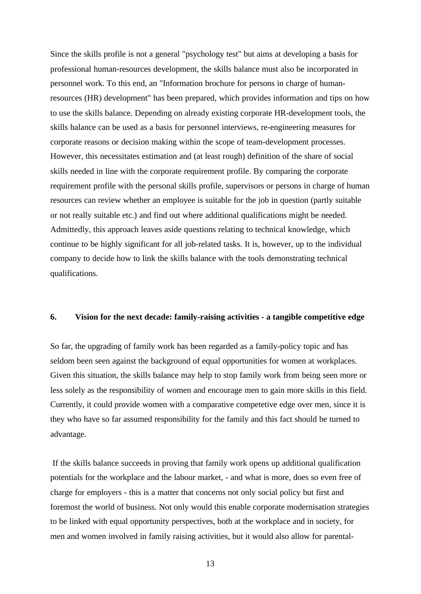Since the skills profile is not a general "psychology test" but aims at developing a basis for professional human-resources development, the skills balance must also be incorporated in personnel work. To this end, an "Information brochure for persons in charge of humanresources (HR) development" has been prepared, which provides information and tips on how to use the skills balance. Depending on already existing corporate HR-development tools, the skills balance can be used as a basis for personnel interviews, re-engineering measures for corporate reasons or decision making within the scope of team-development processes. However, this necessitates estimation and (at least rough) definition of the share of social skills needed in line with the corporate requirement profile. By comparing the corporate requirement profile with the personal skills profile, supervisors or persons in charge of human resources can review whether an employee is suitable for the job in question (partly suitable or not really suitable etc.) and find out where additional qualifications might be needed. Admittedly, this approach leaves aside questions relating to technical knowledge, which continue to be highly significant for all job-related tasks. It is, however, up to the individual company to decide how to link the skills balance with the tools demonstrating technical qualifications.

#### **6. Vision for the next decade: family-raising activities - a tangible competitive edge**

So far, the upgrading of family work has been regarded as a family-policy topic and has seldom been seen against the background of equal opportunities for women at workplaces. Given this situation, the skills balance may help to stop family work from being seen more or less solely as the responsibility of women and encourage men to gain more skills in this field. Currently, it could provide women with a comparative competetive edge over men, since it is they who have so far assumed responsibility for the family and this fact should be turned to advantage.

 If the skills balance succeeds in proving that family work opens up additional qualification potentials for the workplace and the labour market, - and what is more, does so even free of charge for employers - this is a matter that concerns not only social policy but first and foremost the world of business. Not only would this enable corporate modernisation strategies to be linked with equal opportunity perspectives, both at the workplace and in society, for men and women involved in family raising activities, but it would also allow for parental-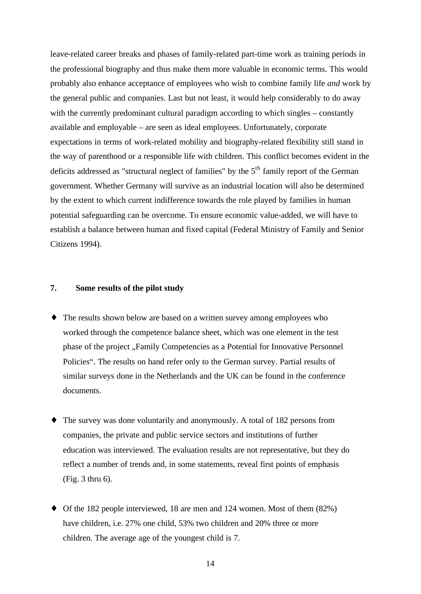leave-related career breaks and phases of family-related part-time work as training periods in the professional biography and thus make them more valuable in economic terms. This would probably also enhance acceptance of employees who wish to combine family life *and* work by the general public and companies. Last but not least, it would help considerably to do away with the currently predominant cultural paradigm according to which singles – constantly available and employable – are seen as ideal employees. Unfortunately, corporate expectations in terms of work-related mobility and biography-related flexibility still stand in the way of parenthood or a responsible life with children. This conflict becomes evident in the deficits addressed as "structural neglect of families" by the  $5<sup>th</sup>$  family report of the German government. Whether Germany will survive as an industrial location will also be determined by the extent to which current indifference towards the role played by families in human potential safeguarding can be overcome. To ensure economic value-added, we will have to establish a balance between human and fixed capital (Federal Ministry of Family and Senior Citizens 1994).

### **7. Some results of the pilot study**

- ♦ The results shown below are based on a written survey among employees who worked through the competence balance sheet, which was one element in the test phase of the project "Family Competencies as a Potential for Innovative Personnel Policies". The results on hand refer only to the German survey. Partial results of similar surveys done in the Netherlands and the UK can be found in the conference documents.
- The survey was done voluntarily and anonymously. A total of 182 persons from companies, the private and public service sectors and institutions of further education was interviewed. The evaluation results are not representative, but they do reflect a number of trends and, in some statements, reveal first points of emphasis (Fig. 3 thru 6).
- ♦ Of the 182 people interviewed, 18 are men and 124 women. Most of them (82%) have children, i.e. 27% one child, 53% two children and 20% three or more children. The average age of the youngest child is 7.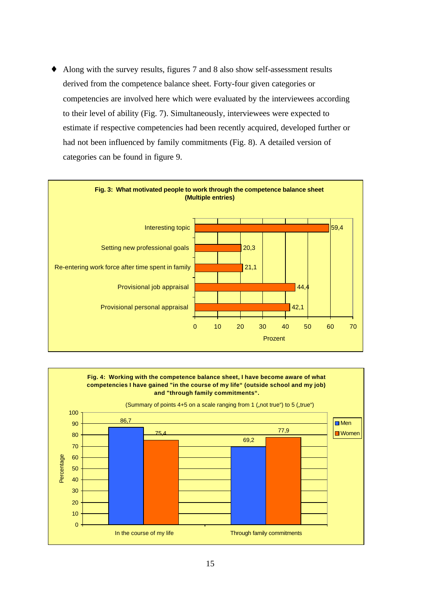Along with the survey results, figures 7 and 8 also show self-assessment results derived from the competence balance sheet. Forty-four given categories or competencies are involved here which were evaluated by the interviewees according to their level of ability (Fig. 7). Simultaneously, interviewees were expected to estimate if respective competencies had been recently acquired, developed further or had not been influenced by family commitments (Fig. 8). A detailed version of categories can be found in figure 9.



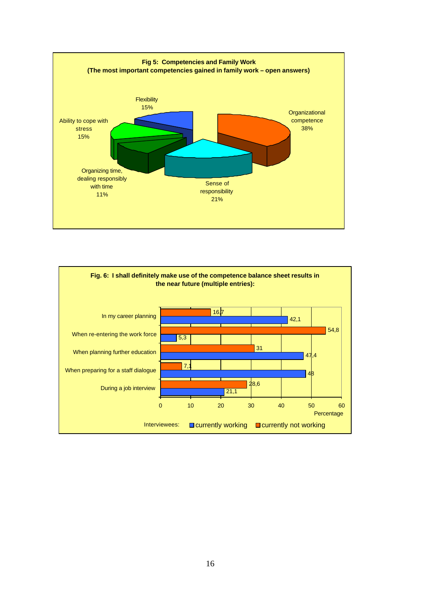

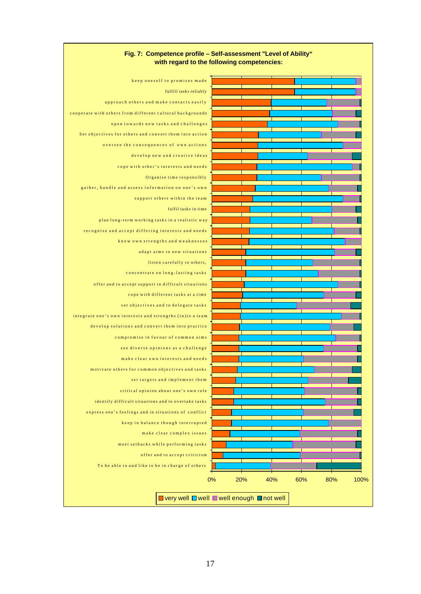

#### **Fig. 7: Competence profile – Self-assessment "Level of Ability" with regard to the following competencies:**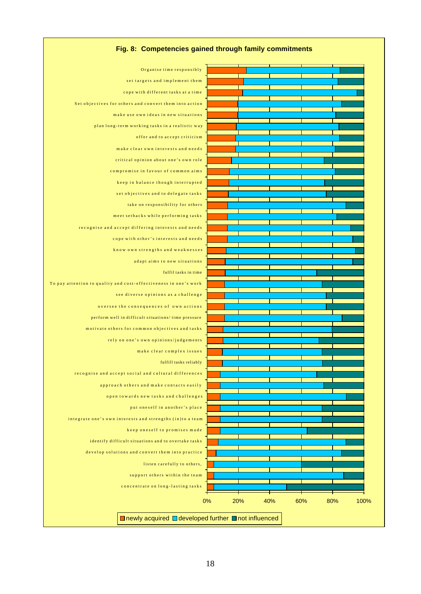

#### **Fig. 8: Competencies gained through family commitments**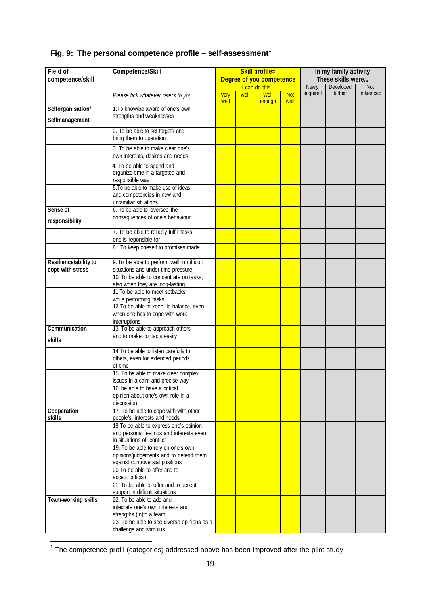| Field of                     | Competence/Skill                                                                                                       | <b>Skill profile=</b>    |      |                |                    | In my family activity    |                      |                   |
|------------------------------|------------------------------------------------------------------------------------------------------------------------|--------------------------|------|----------------|--------------------|--------------------------|----------------------|-------------------|
| competence/skill             |                                                                                                                        | Degree of you competence |      |                |                    | These skills were        |                      |                   |
|                              |                                                                                                                        |                          |      | I can do this  |                    | <b>Newly</b><br>acquired | Developed<br>further | Not<br>influenced |
|                              | Please tick whatever refers to you                                                                                     | Very<br>well             | well | Well<br>enough | <b>Not</b><br>well |                          |                      |                   |
| Selforganisation/            | 1. To know/be aware of one's own                                                                                       |                          |      |                |                    |                          |                      |                   |
| Selfmanagement               | strengths and weaknesses                                                                                               |                          |      |                |                    |                          |                      |                   |
|                              | 2. To be able to set targets and                                                                                       |                          |      |                |                    |                          |                      |                   |
|                              | bring them to operation                                                                                                |                          |      |                |                    |                          |                      |                   |
|                              | 3. To be able to make clear one's<br>own interests, desires and needs                                                  |                          |      |                |                    |                          |                      |                   |
|                              | 4. To be able to spend and<br>organize time in a targeted and<br>responsible way<br>5. To be able to make use of ideas |                          |      |                |                    |                          |                      |                   |
|                              | and competencies in new and<br>unfamiliar situations                                                                   |                          |      |                |                    |                          |                      |                   |
| Sense of                     | 6. To be able to oversee the                                                                                           |                          |      |                |                    |                          |                      |                   |
| responsibility               | consequences of one's behaviour                                                                                        |                          |      |                |                    |                          |                      |                   |
|                              | 7. To be able to reliably fulfill tasks<br>one is reponsible for                                                       |                          |      |                |                    |                          |                      |                   |
|                              | 8. To keep oneself to promises made                                                                                    |                          |      |                |                    |                          |                      |                   |
| Resilience/ability to        | 9. To be able to perform well in difficult                                                                             |                          |      |                |                    |                          |                      |                   |
| cope with stress             | situations and under time pressure                                                                                     |                          |      |                |                    |                          |                      |                   |
|                              | 10. To be able to concentrate on tasks,<br>also when they are long-lasting                                             |                          |      |                |                    |                          |                      |                   |
|                              | 11 To be able to meet setbacks                                                                                         |                          |      |                |                    |                          |                      |                   |
|                              | while performing tasks                                                                                                 |                          |      |                |                    |                          |                      |                   |
|                              | 12 To be able to keep in balance, even                                                                                 |                          |      |                |                    |                          |                      |                   |
|                              | when one has to cope with work<br>interruptions                                                                        |                          |      |                |                    |                          |                      |                   |
| Communication                | 13. To be able to approach others                                                                                      |                          |      |                |                    |                          |                      |                   |
| skills                       | and to make contacts easily                                                                                            |                          |      |                |                    |                          |                      |                   |
|                              | 14 To be able to listen carefully to                                                                                   |                          |      |                |                    |                          |                      |                   |
|                              | others, even for extended periods                                                                                      |                          |      |                |                    |                          |                      |                   |
|                              | of time                                                                                                                |                          |      |                |                    |                          |                      |                   |
|                              | 15. To be able to make clear complex                                                                                   |                          |      |                |                    |                          |                      |                   |
|                              | issues in a calm and precise way<br>16. be able to have a critical                                                     |                          |      |                |                    |                          |                      |                   |
|                              | opinion about one's own role in a                                                                                      |                          |      |                |                    |                          |                      |                   |
|                              | discussion                                                                                                             |                          |      |                |                    |                          |                      |                   |
| Cooperation<br><b>skills</b> | 17. To be able to cope with with other<br>people's interests and needs                                                 |                          |      |                |                    |                          |                      |                   |
|                              | 18 To be able to express one's opinion                                                                                 |                          |      |                |                    |                          |                      |                   |
|                              | and personal feelings and interests even<br>in situations of conflict                                                  |                          |      |                |                    |                          |                      |                   |
|                              | 19. To be able to rely on one's own                                                                                    |                          |      |                |                    |                          |                      |                   |
|                              | opinions/judgements and to defend them<br>against controversial positions                                              |                          |      |                |                    |                          |                      |                   |
|                              | 20 To be able to offer and to                                                                                          |                          |      |                |                    |                          |                      |                   |
|                              | accept criticism                                                                                                       |                          |      |                |                    |                          |                      |                   |
|                              | 21. To be able to offer and to accept<br>support in difficult situations                                               |                          |      |                |                    |                          |                      |                   |
| Team-working skills          | 22. To be able to add and                                                                                              |                          |      |                |                    |                          |                      |                   |
|                              | integrate one's own interests and                                                                                      |                          |      |                |                    |                          |                      |                   |
|                              | strengths (in)to a team                                                                                                |                          |      |                |                    |                          |                      |                   |
|                              | 23. To be able to see diverse opinions as a<br>challenge and stimulus                                                  |                          |      |                |                    |                          |                      |                   |

## **Fig. 9: The personal competence profile – self-assessment<sup>1</sup>**

<sup>————————————————————&</sup>lt;br><sup>1</sup> The competence profil (categories) addressed above has been improved after the pilot study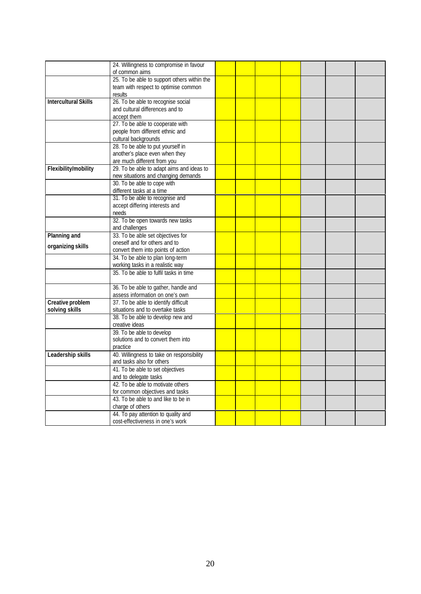|                             | 24. Willingness to compromise in favour<br>of common aims |  |  |  |  |
|-----------------------------|-----------------------------------------------------------|--|--|--|--|
|                             | 25. To be able to support others within the               |  |  |  |  |
|                             | team with respect to optimise common                      |  |  |  |  |
|                             | results                                                   |  |  |  |  |
| <b>Intercultural Skills</b> | 26. To be able to recognise social                        |  |  |  |  |
|                             | and cultural differences and to                           |  |  |  |  |
|                             | accept them                                               |  |  |  |  |
|                             | 27. To be able to cooperate with                          |  |  |  |  |
|                             | people from different ethnic and                          |  |  |  |  |
|                             | cultural backgrounds                                      |  |  |  |  |
|                             | 28. To be able to put yourself in                         |  |  |  |  |
|                             | another's place even when they                            |  |  |  |  |
|                             | are much different from you                               |  |  |  |  |
| Flexibility/mobility        | 29. To be able to adapt aims and ideas to                 |  |  |  |  |
|                             | new situations and changing demands                       |  |  |  |  |
|                             | 30. To be able to cope with                               |  |  |  |  |
|                             | different tasks at a time                                 |  |  |  |  |
|                             | 31. To be able to recognise and                           |  |  |  |  |
|                             | accept differing interests and                            |  |  |  |  |
|                             | needs                                                     |  |  |  |  |
|                             | 32. To be open towards new tasks                          |  |  |  |  |
|                             | and challenges                                            |  |  |  |  |
| Planning and                | 33. To be able set objectives for                         |  |  |  |  |
|                             | oneself and for others and to                             |  |  |  |  |
| organizing skills           | convert them into points of action                        |  |  |  |  |
|                             | 34. To be able to plan long-term                          |  |  |  |  |
|                             | working tasks in a realistic way                          |  |  |  |  |
|                             | 35. To be able to fulfil tasks in time                    |  |  |  |  |
|                             |                                                           |  |  |  |  |
|                             | 36. To be able to gather, handle and                      |  |  |  |  |
|                             | assess information on one's own                           |  |  |  |  |
| Creative problem            | 37. To be able to identify difficult                      |  |  |  |  |
| solving skills              | situations and to overtake tasks                          |  |  |  |  |
|                             | 38. To be able to develop new and                         |  |  |  |  |
|                             | creative ideas                                            |  |  |  |  |
|                             | 39. To be able to develop                                 |  |  |  |  |
|                             | solutions and to convert them into                        |  |  |  |  |
|                             | practice                                                  |  |  |  |  |
| Leadership skills           | 40. Willingness to take on responsibility                 |  |  |  |  |
|                             | and tasks also for others                                 |  |  |  |  |
|                             | 41. To be able to set objectives                          |  |  |  |  |
|                             | and to delegate tasks                                     |  |  |  |  |
|                             | 42. To be able to motivate others                         |  |  |  |  |
|                             | for common objectives and tasks                           |  |  |  |  |
|                             | 43. To be able to and like to be in                       |  |  |  |  |
|                             | charge of others                                          |  |  |  |  |
|                             | 44. To pay attention to quality and                       |  |  |  |  |
|                             | cost-effectiveness in one's work                          |  |  |  |  |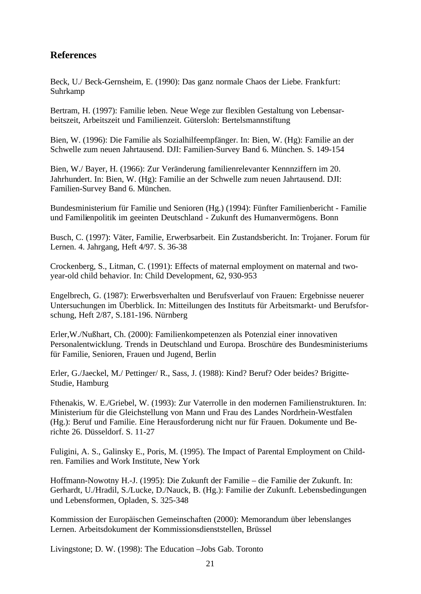### **References**

Beck, U./ Beck-Gernsheim, E. (1990): Das ganz normale Chaos der Liebe. Frankfurt: Suhrkamp

Bertram, H. (1997): Familie leben. Neue Wege zur flexiblen Gestaltung von Lebensarbeitszeit, Arbeitszeit und Familienzeit. Gütersloh: Bertelsmannstiftung

Bien, W. (1996): Die Familie als Sozialhilfeempfänger. In: Bien, W. (Hg): Familie an der Schwelle zum neuen Jahrtausend. DJI: Familien-Survey Band 6. München. S. 149-154

Bien, W./ Bayer, H. (1966): Zur Veränderung familienrelevanter Kennnziffern im 20. Jahrhundert. In: Bien, W. (Hg): Familie an der Schwelle zum neuen Jahrtausend. DJI: Familien-Survey Band 6. München.

Bundesministerium für Familie und Senioren (Hg.) (1994): Fünfter Familienbericht - Familie und Familienpolitik im geeinten Deutschland - Zukunft des Humanvermögens. Bonn

Busch, C. (1997): Väter, Familie, Erwerbsarbeit. Ein Zustandsbericht. In: Trojaner. Forum für Lernen. 4. Jahrgang, Heft 4/97. S. 36-38

Crockenberg, S., Litman, C. (1991): Effects of maternal employment on maternal and twoyear-old child behavior. In: Child Development, 62, 930-953

Engelbrech, G. (1987): Erwerbsverhalten und Berufsverlauf von Frauen: Ergebnisse neuerer Untersuchungen im Überblick. In: Mitteilungen des Instituts für Arbeitsmarkt- und Berufsforschung, Heft 2/87, S.181-196. Nürnberg

Erler,W./Nußhart, Ch. (2000): Familienkompetenzen als Potenzial einer innovativen Personalentwicklung. Trends in Deutschland und Europa. Broschüre des Bundesministeriums für Familie, Senioren, Frauen und Jugend, Berlin

Erler, G./Jaeckel, M./ Pettinger/ R., Sass, J. (1988): Kind? Beruf? Oder beides? Brigitte-Studie, Hamburg

Fthenakis, W. E./Griebel, W. (1993): Zur Vaterrolle in den modernen Familienstrukturen. In: Ministerium für die Gleichstellung von Mann und Frau des Landes Nordrhein-Westfalen (Hg.): Beruf und Familie. Eine Herausforderung nicht nur für Frauen. Dokumente und Berichte 26. Düsseldorf. S. 11-27

Fuligini, A. S., Galinsky E., Poris, M. (1995). The Impact of Parental Employment on Children. Families and Work Institute, New York

Hoffmann-Nowotny H.-J. (1995): Die Zukunft der Familie – die Familie der Zukunft. In: Gerhardt, U./Hradil, S./Lucke, D./Nauck, B. (Hg.): Familie der Zukunft. Lebensbedingungen und Lebensformen, Opladen, S. 325-348

Kommission der Europäischen Gemeinschaften (2000): Memorandum über lebenslanges Lernen. Arbeitsdokument der Kommissionsdienststellen, Brüssel

Livingstone; D. W. (1998): The Education –Jobs Gab. Toronto